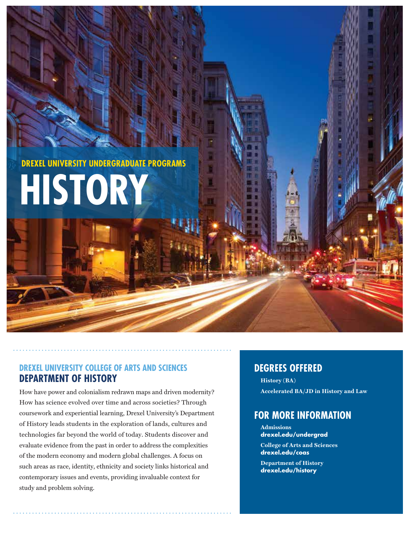

**HISTORY**

# **DREXEL UNIVERSITY COLLEGE OF ARTS AND SCIENCES DEPARTMENT OF HISTORY**

How have power and colonialism redrawn maps and driven modernity? How has science evolved over time and across societies? Through coursework and experiential learning, Drexel University's Department of History leads students in the exploration of lands, cultures and technologies far beyond the world of today. Students discover and evaluate evidence from the past in order to address the complexities of the modern economy and modern global challenges. A focus on such areas as race, identity, ethnicity and society links historical and contemporary issues and events, providing invaluable context for study and problem solving.

# **DEGREES OFFERED**

**History** (BA) **Accelerated BA/JD in History and Law**

# **FOR MORE INFORMATION**

**Admissions drexel.edu/undergrad College of Arts and Sciences drexel.edu/coas**

**Department of History drexel.edu/history**